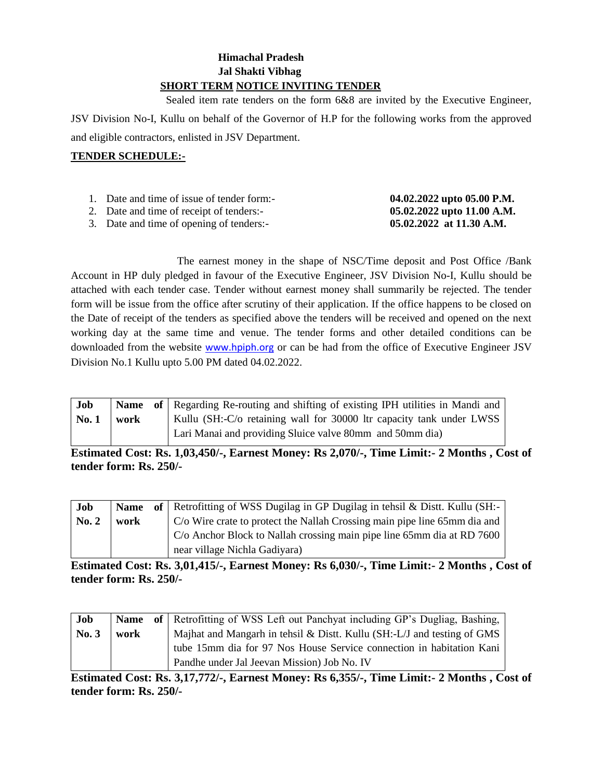# **Himachal Pradesh Jal Shakti Vibhag SHORT TERM NOTICE INVITING TENDER**

 Sealed item rate tenders on the form 6&8 are invited by the Executive Engineer, JSV Division No-I, Kullu on behalf of the Governor of H.P for the following works from the approved and eligible contractors, enlisted in JSV Department.

## **TENDER SCHEDULE:-**

| 1. Date and time of issue of tender form:- | 04.02.2022 upto 05.00 P.M. |
|--------------------------------------------|----------------------------|
| 2. Date and time of receipt of tenders:-   | 05.02.2022 upto 11.00 A.M. |
| 3. Date and time of opening of tenders:-   | $05.02.2022$ at 11.30 A.M. |

The earnest money in the shape of NSC/Time deposit and Post Office /Bank Account in HP duly pledged in favour of the Executive Engineer, JSV Division No-I, Kullu should be attached with each tender case. Tender without earnest money shall summarily be rejected. The tender form will be issue from the office after scrutiny of their application. If the office happens to be closed on the Date of receipt of the tenders as specified above the tenders will be received and opened on the next working day at the same time and venue. The tender forms and other detailed conditions can be downloaded from the website [www.hpiph.org](http://www.hpiph.org/) or can be had from the office of Executive Engineer JSV Division No.1 Kullu upto 5.00 PM dated 04.02.2022.

| Job  |      | <b>Name</b> of Regarding Re-routing and shifting of existing IPH utilities in Mandi and |
|------|------|-----------------------------------------------------------------------------------------|
| No.1 | work | Kullu (SH:-C/o retaining wall for 30000 ltr capacity tank under LWSS                    |
|      |      | Lari Manai and providing Sluice valve 80mm and 50mm dia)                                |

**Estimated Cost: Rs. 1,03,450/-, Earnest Money: Rs 2,070/-, Time Limit:- 2 Months , Cost of tender form: Rs. 250/-**

| Job   |      | <b>Name</b> of Retrofitting of WSS Dugilag in GP Dugilag in tehsil & Dist. Kullu (SH:- |
|-------|------|----------------------------------------------------------------------------------------|
| No. 2 | work | C/o Wire crate to protect the Nallah Crossing main pipe line 65mm dia and              |
|       |      | C/o Anchor Block to Nallah crossing main pipe line 65mm dia at RD 7600                 |
|       |      | near village Nichla Gadiyara)                                                          |

**Estimated Cost: Rs. 3,01,415/-, Earnest Money: Rs 6,030/-, Time Limit:- 2 Months , Cost of tender form: Rs. 250/-**

| Job   |      | <b>Name</b> of Retrofitting of WSS Left out Panchyat including GP's Dugliag, Bashing, |
|-------|------|---------------------------------------------------------------------------------------|
| No. 3 | work | Majhat and Mangarh in tehsil & Distt. Kullu (SH:-L/J and testing of GMS               |
|       |      | tube 15mm dia for 97 Nos House Service connection in habitation Kani                  |
|       |      | Pandhe under Jal Jeevan Mission) Job No. IV                                           |

**Estimated Cost: Rs. 3,17,772/-, Earnest Money: Rs 6,355/-, Time Limit:- 2 Months , Cost of tender form: Rs. 250/-**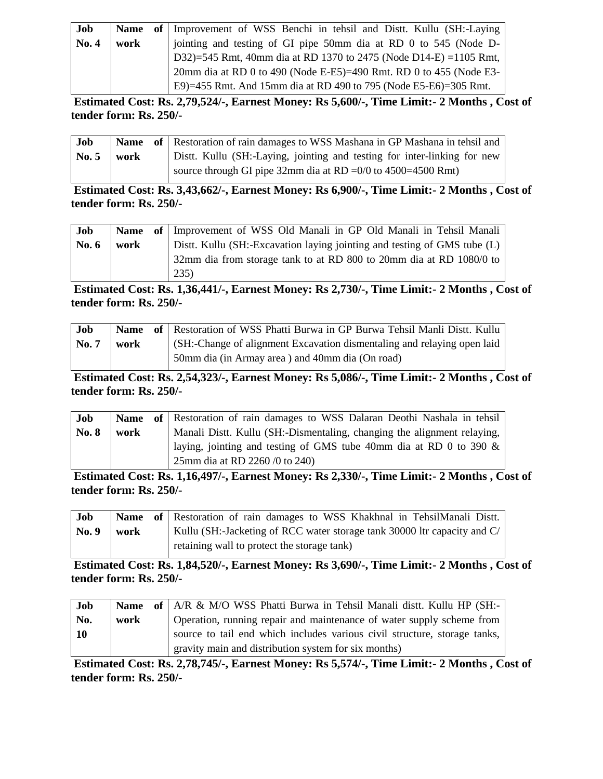| Job   | <b>Name</b> | of Improvement of WSS Benchi in tehsil and Distt. Kullu (SH:-Laying |
|-------|-------------|---------------------------------------------------------------------|
| No. 4 | work        | jointing and testing of GI pipe 50mm dia at RD 0 to 545 (Node D-    |
|       |             | D32)=545 Rmt, 40mm dia at RD 1370 to 2475 (Node D14-E) = 1105 Rmt,  |
|       |             | 20mm dia at RD 0 to 490 (Node E-E5)=490 Rmt. RD 0 to 455 (Node E3-  |
|       |             | E9)=455 Rmt. And 15mm dia at RD 490 to 795 (Node E5-E6)=305 Rmt.    |

**Estimated Cost: Rs. 2,79,524/-, Earnest Money: Rs 5,600/-, Time Limit:- 2 Months , Cost of tender form: Rs. 250/-**

| Job             |      | <b>Name</b> of Restoration of rain damages to WSS Mashana in GP Mashana in tehsil and |
|-----------------|------|---------------------------------------------------------------------------------------|
| $\mathbf{No.}5$ | work | Distt. Kullu (SH:-Laying, jointing and testing for inter-linking for new              |
|                 |      | source through GI pipe 32mm dia at RD = $0/0$ to 4500=4500 Rmt)                       |

**Estimated Cost: Rs. 3,43,662/-, Earnest Money: Rs 6,900/-, Time Limit:- 2 Months , Cost of tender form: Rs. 250/-**

| Job     |      | Name of Improvement of WSS Old Manali in GP Old Manali in Tehsil Manali  |
|---------|------|--------------------------------------------------------------------------|
| No. $6$ | work | Distt. Kullu (SH:-Excavation laying jointing and testing of GMS tube (L) |
|         |      | 32mm dia from storage tank to at RD 800 to 20mm dia at RD 1080/0 to      |
|         |      | 235)                                                                     |

**Estimated Cost: Rs. 1,36,441/-, Earnest Money: Rs 2,730/-, Time Limit:- 2 Months , Cost of tender form: Rs. 250/-**

| Job          |      | Name of Restoration of WSS Phatti Burwa in GP Burwa Tehsil Manli Distt. Kullu |
|--------------|------|-------------------------------------------------------------------------------|
| <b>No. 7</b> | work | (SH:-Change of alignment Excavation dismentaling and relaying open laid       |
|              |      | 50mm dia (in Armay area) and 40mm dia (On road)                               |

**Estimated Cost: Rs. 2,54,323/-, Earnest Money: Rs 5,086/-, Time Limit:- 2 Months , Cost of tender form: Rs. 250/-**

| Job          |      | Name of Restoration of rain damages to WSS Dalaran Deothi Nashala in tehsil |
|--------------|------|-----------------------------------------------------------------------------|
| <b>No. 8</b> | work | Manali Distt. Kullu (SH:-Dismentaling, changing the alignment relaying,     |
|              |      | laying, jointing and testing of GMS tube 40mm dia at RD 0 to 390 $\&$       |
|              |      | 25mm dia at RD 2260 /0 to 240)                                              |

**Estimated Cost: Rs. 1,16,497/-, Earnest Money: Rs 2,330/-, Time Limit:- 2 Months , Cost of tender form: Rs. 250/-**

| Job   |      | Name of Restoration of rain damages to WSS Khakhnal in TehsilManali Distt. |
|-------|------|----------------------------------------------------------------------------|
| No. 9 | work | Kullu (SH:-Jacketing of RCC water storage tank 30000 ltr capacity and C/   |
|       |      | retaining wall to protect the storage tank)                                |

**Estimated Cost: Rs. 1,84,520/-, Earnest Money: Rs 3,690/-, Time Limit:- 2 Months , Cost of tender form: Rs. 250/-**

| Job       |      | <b>Name</b> of A/R & M/O WSS Phatti Burwa in Tehsil Manali dist. Kullu HP (SH:- |
|-----------|------|---------------------------------------------------------------------------------|
| No.       | work | Operation, running repair and maintenance of water supply scheme from           |
| <b>10</b> |      | source to tail end which includes various civil structure, storage tanks,       |
|           |      | gravity main and distribution system for six months)                            |

**Estimated Cost: Rs. 2,78,745/-, Earnest Money: Rs 5,574/-, Time Limit:- 2 Months , Cost of tender form: Rs. 250/-**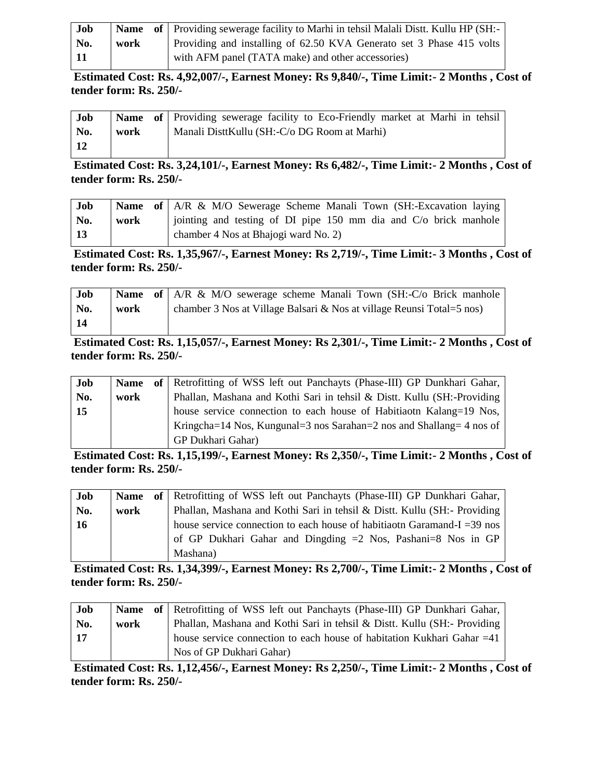| Job  |      | <b>Name</b> of Providing sewerage facility to Marhi in tehsil Malali Distt. Kullu HP (SH:- |
|------|------|--------------------------------------------------------------------------------------------|
| No.  | work | Providing and installing of 62.50 KVA Generato set 3 Phase 415 volts                       |
| - 11 |      | with AFM panel (TATA make) and other accessories)                                          |

**Estimated Cost: Rs. 4,92,007/-, Earnest Money: Rs 9,840/-, Time Limit:- 2 Months , Cost of tender form: Rs. 250/-**

| Job |      | <b>Name</b> of Providing sewerage facility to Eco-Friendly market at Marhi in tehsil |
|-----|------|--------------------------------------------------------------------------------------|
| No. | work | Manali DisttKullu (SH:-C/o DG Room at Marhi)                                         |
| -12 |      |                                                                                      |

**Estimated Cost: Rs. 3,24,101/-, Earnest Money: Rs 6,482/-, Time Limit:- 2 Months , Cost of tender form: Rs. 250/-**

| Job |      | <b>Name of</b>   A/R & M/O Sewerage Scheme Manali Town (SH:-Excavation laying) |
|-----|------|--------------------------------------------------------------------------------|
| No. | work | i jointing and testing of DI pipe $150 \text{ mm}$ dia and C/o brick manhole   |
| 13  |      | chamber 4 Nos at Bhajogi ward No. 2)                                           |

**Estimated Cost: Rs. 1,35,967/-, Earnest Money: Rs 2,719/-, Time Limit:- 3 Months , Cost of tender form: Rs. 250/-**

| Job |      | <b>Name</b> of   A/R & M/O sewerage scheme Manali Town (SH:-C/o Brick manhole |
|-----|------|-------------------------------------------------------------------------------|
| No. | work | chamber 3 Nos at Village Balsari & Nos at village Reunsi Total=5 nos)         |
|     |      |                                                                               |

**Estimated Cost: Rs. 1,15,057/-, Earnest Money: Rs 2,301/-, Time Limit:- 2 Months , Cost of tender form: Rs. 250/-**

| Job | <b>Name</b> | of Retrofitting of WSS left out Panchayts (Phase-III) GP Dunkhari Gahar, |
|-----|-------------|--------------------------------------------------------------------------|
| No. | work        | Phallan, Mashana and Kothi Sari in tehsil & Distt. Kullu (SH:-Providing  |
| 15  |             | house service connection to each house of Habitian Kalang=19 Nos,        |
|     |             | Kringcha=14 Nos, Kungunal=3 nos Sarahan=2 nos and Shallang= 4 nos of     |
|     |             | GP Dukhari Gahar)                                                        |

**Estimated Cost: Rs. 1,15,199/-, Earnest Money: Rs 2,350/-, Time Limit:- 2 Months , Cost of tender form: Rs. 250/-**

| Job               |      | <b>Name</b> of Retrofitting of WSS left out Panchayts (Phase-III) GP Dunkhari Gahar, |
|-------------------|------|--------------------------------------------------------------------------------------|
| No.               | work | Phallan, Mashana and Kothi Sari in tehsil & Distt. Kullu (SH:- Providing             |
| $\blacksquare$ 16 |      | house service connection to each house of habitiaoth Garamand-I = 39 nos             |
|                   |      | of GP Dukhari Gahar and Dingding $=2$ Nos, Pashani $=8$ Nos in GP                    |
|                   |      | Mashana)                                                                             |

**Estimated Cost: Rs. 1,34,399/-, Earnest Money: Rs 2,700/-, Time Limit:- 2 Months , Cost of tender form: Rs. 250/-**

| Job        |      | Name of Retrofitting of WSS left out Panchayts (Phase-III) GP Dunkhari Gahar, |
|------------|------|-------------------------------------------------------------------------------|
| No.        | work | Phallan, Mashana and Kothi Sari in tehsil & Distt. Kullu (SH:- Providing      |
| $\vert$ 17 |      | house service connection to each house of habitation Kukhari Gahar = 41       |
|            |      | Nos of GP Dukhari Gahar)                                                      |

**Estimated Cost: Rs. 1,12,456/-, Earnest Money: Rs 2,250/-, Time Limit:- 2 Months , Cost of tender form: Rs. 250/-**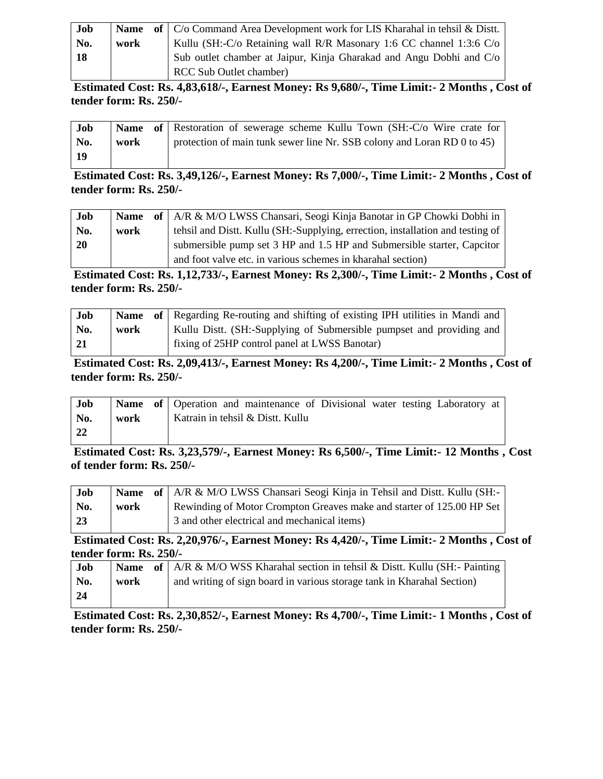| Job |      | <b>Name</b> of $\vert$ C/o Command Area Development work for LIS Kharahal in tehsil & Distt. |
|-----|------|----------------------------------------------------------------------------------------------|
| No. | work | Kullu (SH:-C/o Retaining wall R/R Masonary 1:6 CC channel 1:3:6 C/o                          |
| -18 |      | Sub outlet chamber at Jaipur, Kinja Gharakad and Angu Dobhi and C/o                          |
|     |      | <b>RCC Sub Outlet chamber)</b>                                                               |

**Estimated Cost: Rs. 4,83,618/-, Earnest Money: Rs 9,680/-, Time Limit:- 2 Months , Cost of tender form: Rs. 250/-**

| Job |      | Name of   Restoration of sewerage scheme Kullu Town (SH:-C/o Wire crate for |
|-----|------|-----------------------------------------------------------------------------|
| No. | work | protection of main tunk sewer line Nr. SSB colony and Loran RD $0$ to 45)   |
| 19  |      |                                                                             |

**Estimated Cost: Rs. 3,49,126/-, Earnest Money: Rs 7,000/-, Time Limit:- 2 Months , Cost of tender form: Rs. 250/-**

| Job       | <b>Name</b> | of   A/R & M/O LWSS Chansari, Seogi Kinja Banotar in GP Chowki Dobhi in        |
|-----------|-------------|--------------------------------------------------------------------------------|
| No.       | work        | tehsil and Distt. Kullu (SH:-Supplying, errection, installation and testing of |
| <b>20</b> |             | submersible pump set 3 HP and 1.5 HP and Submersible starter, Capcitor         |
|           |             | and foot valve etc. in various schemes in kharahal section)                    |

**Estimated Cost: Rs. 1,12,733/-, Earnest Money: Rs 2,300/-, Time Limit:- 2 Months , Cost of tender form: Rs. 250/-**

| Job |      | <b>Name</b> of Regarding Re-routing and shifting of existing IPH utilities in Mandi and |
|-----|------|-----------------------------------------------------------------------------------------|
| No. | work | Kullu Distt. (SH:-Supplying of Submersible pumpset and providing and                    |
| -21 |      | fixing of 25HP control panel at LWSS Banotar)                                           |

**Estimated Cost: Rs. 2,09,413/-, Earnest Money: Rs 4,200/-, Time Limit:- 2 Months , Cost of tender form: Rs. 250/-**

| Job |      | <b>Name of</b> Operation and maintenance of Divisional water testing Laboratory at |  |
|-----|------|------------------------------------------------------------------------------------|--|
| No. | work | Katrain in tehsil & Distt. Kullu                                                   |  |
| -22 |      |                                                                                    |  |

**Estimated Cost: Rs. 3,23,579/-, Earnest Money: Rs 6,500/-, Time Limit:- 12 Months , Cost of tender form: Rs. 250/-**

| Job |      | <b>Name</b> of   A/R & M/O LWSS Chansari Seogi Kinja in Tehsil and Distt. Kullu (SH:- |
|-----|------|---------------------------------------------------------------------------------------|
| No. | work | Rewinding of Motor Crompton Greaves make and starter of 125.00 HP Set                 |
| -23 |      | 3 and other electrical and mechanical items)                                          |

**Estimated Cost: Rs. 2,20,976/-, Earnest Money: Rs 4,420/-, Time Limit:- 2 Months , Cost of tender form: Rs. 250/-**

| Job             |      | <b>Name</b> of   A/R & M/O WSS Kharahal section in tehsil & Distt. Kullu (SH:- Painting |
|-----------------|------|-----------------------------------------------------------------------------------------|
| No.             | work | and writing of sign board in various storage tank in Kharahal Section)                  |
| $\overline{24}$ |      |                                                                                         |

**Estimated Cost: Rs. 2,30,852/-, Earnest Money: Rs 4,700/-, Time Limit:- 1 Months , Cost of tender form: Rs. 250/-**